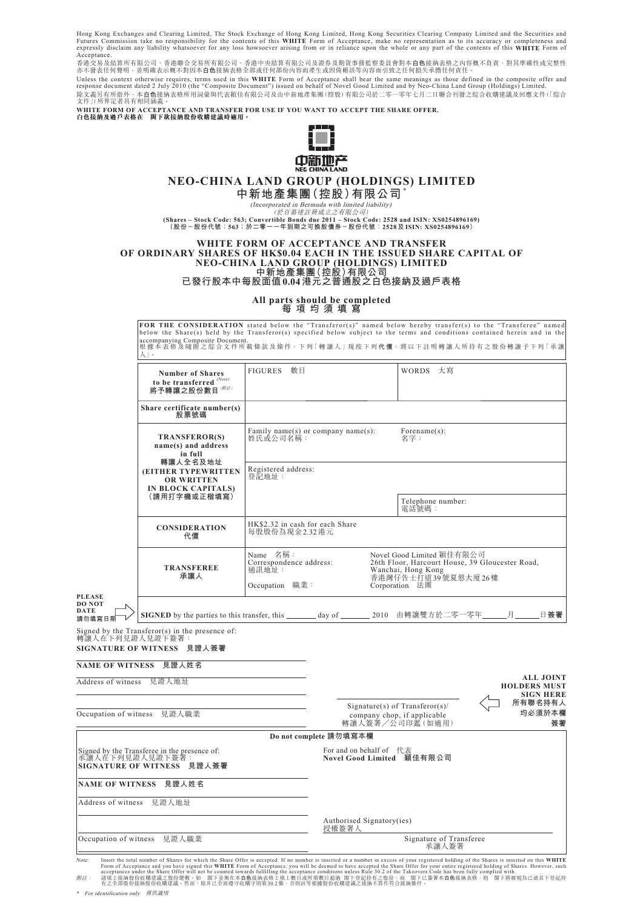Hong Kong Exchanges and Clearing Limited, The Stock Exchange of Hong Kong Limited, Hong Kong Securities Clearing Company Limited and the Securities and Futures Commission take no responsibility for the contents of this WHITE Form of Acceptance, make no representation as to its accuracy or completeness and<br>expressly disclaim any liability whatsoever for any loss howsoever Acceptance.

香港交易及結算所有限公司、香港聯合交易所有限公司、香港中央結算有限公司及證券及期貨事務監察委員會對本**白色**接納表格之內容概不負責,對其準確性或完整性 亦不發表任何聲明,並明確表示概不對因本**白色**接納表格全部或任何部份內容而產生或因倚賴該等內容而引致之任何損失承擔任何責任。 Unless the context otherwise requires, terms used in this **WHITE** Form of Acceptance shall bear the same meanings as those defined in the composite offer and response document dated 2 July 2010 (the "Composite Document") issued on behalf of Novel Good Limited and by Neo-China Land Group (Holdings) Limited. 除文義另有所指外,本**白色**接納表格所用詞彙與代表穎佳有限公司及由中新地產集團(控股)有限公司於二零一零年七月二日聯合刊發之綜合收購建議及回應文件(|綜合 文件」)所界定者具有相同涵義。

**WHITE FORM OF ACCEPTANCE AND TRANSFER FOR USE IF YOU WANT TO ACCEPT THE SHARE OFFER. 白色接納及過戶表格在 閣下欲接納股份收購建議時適用。**



# **NEO-CHINA LAND GROUP (HOLDINGS) LIMITED**

**中新地產集團(控股)有限公司** \*

(Incorporated in Bermuda with limited liability)<br>(Shares – Stock Code: 563; Convertible Bonds due 2011 – Stock Code: 2528 and ISIN: XS0254896169)<br>(股份-股份代號:563;於二零--年到期之可換股債券-股份代號:2528及ISIN: XS0254896169)

#### **WHITE FORM OF ACCEPTANCE AND TRANSFER OF ORDINARY SHARES OF HK\$0.04 EACH IN THE ISSUED SHARE CAPITAL OF NEO-CHINA LAND GROUP (HOLDINGS) LIMITED 中新地產集團(控股)有限公司 已發行股本中每股面值0.04港元之普通股之白色接納及過戶表格**

**All parts should be completed**

**每項均須填寫**

**FOR THE CONSIDERATION** stated below the "Transferor" named below hereby transfer (s) to the "Transference" named below hereby transferences in the "Transference" named below hereby the "Transference" named below the "Tran

|                                                                                               |                                                                                                                                              |                                                                                                                                                                            |                                                      |                                                                                      | <b>FUR THE CONSIDERATION</b> Stated below the "Transferor(S)" hanied below hereby transfer(S) to the "Fransferee" hanied<br>below the Share(s) held by the Transferor(s) specified below subject to the terms and conditions contained herein and in the |
|-----------------------------------------------------------------------------------------------|----------------------------------------------------------------------------------------------------------------------------------------------|----------------------------------------------------------------------------------------------------------------------------------------------------------------------------|------------------------------------------------------|--------------------------------------------------------------------------------------|----------------------------------------------------------------------------------------------------------------------------------------------------------------------------------------------------------------------------------------------------------|
|                                                                                               | 人」。                                                                                                                                          |                                                                                                                                                                            |                                                      |                                                                                      | accompanying Composite Document.<br>根據本表格及隨附之綜合文件所載條款及條件,下列「轉讓人」現按下列代價,將以下註明轉讓人所持有之股份轉讓予下列「承讓                                                                                                                                                            |
|                                                                                               | <b>Number of Shares</b><br>to be transferred $^{\textcolor{red}{(Note)}}$<br>將予轉讓之股份數目 (附註)                                                  | FIGURES 數目                                                                                                                                                                 |                                                      | WORDS 大寫                                                                             |                                                                                                                                                                                                                                                          |
|                                                                                               | Share certificate number(s)<br>股票號碼                                                                                                          |                                                                                                                                                                            |                                                      |                                                                                      |                                                                                                                                                                                                                                                          |
|                                                                                               | <b>TRANSFEROR(S)</b><br>name(s) and address<br>in full<br>轉讓人全名及地址<br><b>(EITHER TYPEWRITTEN)</b><br><b>OR WRITTEN</b><br>IN BLOCK CAPITALS) | 姓氏或公司名稱:                                                                                                                                                                   | Family name(s) or company name(s):                   | Forename(s):<br>名字:                                                                  |                                                                                                                                                                                                                                                          |
|                                                                                               |                                                                                                                                              | Registered address:<br>登記地址:                                                                                                                                               |                                                      |                                                                                      |                                                                                                                                                                                                                                                          |
|                                                                                               | (請用打字機或正楷填寫)                                                                                                                                 |                                                                                                                                                                            |                                                      | Telephone number:<br>電話號碼:                                                           |                                                                                                                                                                                                                                                          |
|                                                                                               | <b>CONSIDERATION</b><br>代價                                                                                                                   | HK\$2.32 in cash for each Share<br>每股股份為現金2.32 港元                                                                                                                          |                                                      |                                                                                      |                                                                                                                                                                                                                                                          |
|                                                                                               | <b>TRANSFEREE</b><br>承讓人                                                                                                                     | Name 名稱:<br>Novel Good Limited 穎佳有限公司<br>Correspondence address:<br>26th Floor, Harcourt House, 39 Gloucester Road,<br>通訊地址:<br>Wanchai, Hong Kong<br>香港灣仔告士打道 39號夏慤大廈 26樓 |                                                      |                                                                                      |                                                                                                                                                                                                                                                          |
|                                                                                               |                                                                                                                                              | Occupation 職業:<br>Corporation 法團                                                                                                                                           |                                                      |                                                                                      |                                                                                                                                                                                                                                                          |
| <b>PLEASE</b><br><b>DO NOT</b><br>DATE<br>請勿填寫日期                                              | SIGNED by the parties to this transfer, this _______ day of _______ 2010 由轉讓雙方於二零一零年_                                                        |                                                                                                                                                                            |                                                      |                                                                                      | 日簽署<br>月                                                                                                                                                                                                                                                 |
| 轉讓人在下列見證人見證下簽署:                                                                               | Signed by the $Transformer(s)$ in the presence of:<br>SIGNATURE OF WITNESS 見證人簽署                                                             |                                                                                                                                                                            |                                                      |                                                                                      |                                                                                                                                                                                                                                                          |
| <b>NAME OF WITNESS</b>                                                                        | 見證人姓名                                                                                                                                        |                                                                                                                                                                            |                                                      |                                                                                      |                                                                                                                                                                                                                                                          |
| Address of witness                                                                            | 見證人地址                                                                                                                                        |                                                                                                                                                                            |                                                      |                                                                                      | <b>ALL JOINT</b><br><b>HOLDERS MUST</b>                                                                                                                                                                                                                  |
| Occupation of witness 見證人職業                                                                   |                                                                                                                                              |                                                                                                                                                                            |                                                      | Signature(s) of $Transformer(s)$ /<br>company chop, if applicable<br>轉讓人簽署/公司印鑑(如適用) | <b>SIGN HERE</b><br>所有聯名持有人<br>均必須於本欄<br>簽署                                                                                                                                                                                                              |
|                                                                                               |                                                                                                                                              |                                                                                                                                                                            | Do not complete 請勿填寫本欄                               |                                                                                      |                                                                                                                                                                                                                                                          |
| Signed by the Transferee in the presence of:<br>承讓人在下列見證人見證下簽署:<br>SIGNATURE OF WITNESS 見證人簽署 |                                                                                                                                              |                                                                                                                                                                            | For and on behalf of 代表<br>Novel Good Limited 穎佳有限公司 |                                                                                      |                                                                                                                                                                                                                                                          |
|                                                                                               | NAME OF WITNESS 見證人姓名                                                                                                                        |                                                                                                                                                                            |                                                      |                                                                                      |                                                                                                                                                                                                                                                          |
| Address of witness 見證人地址                                                                      |                                                                                                                                              |                                                                                                                                                                            |                                                      |                                                                                      |                                                                                                                                                                                                                                                          |
|                                                                                               |                                                                                                                                              |                                                                                                                                                                            | Authorised Signatory(ies)<br>授權簽署人                   |                                                                                      |                                                                                                                                                                                                                                                          |
|                                                                                               | Occupation of witness 見證人職業                                                                                                                  |                                                                                                                                                                            |                                                      | Signature of Transferee<br>承讓人簽署                                                     |                                                                                                                                                                                                                                                          |
|                                                                                               |                                                                                                                                              |                                                                                                                                                                            |                                                      |                                                                                      |                                                                                                                                                                                                                                                          |

Note: Insert the total number of Shares for which the Share Offer is accepted. If no number is inserted or a number in excess of your registered holding of the Shares is inserted on this WHITE Mover signed this WHITE Form

\* For identification only 僅供識別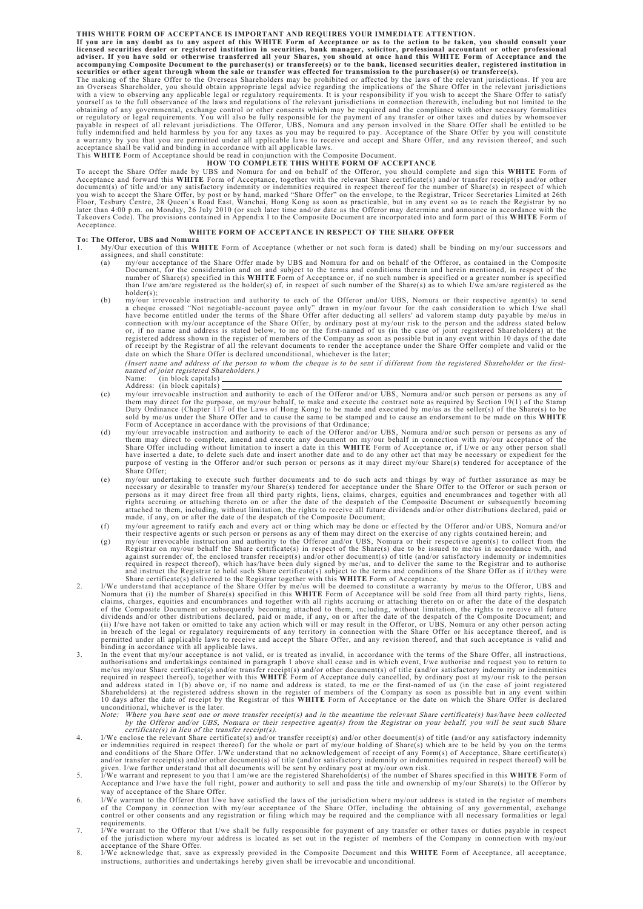#### **THIS WHITE FORM OF ACCEPTANCE IS IMPORTANT AND REQUIRES YOUR IMMEDIATE ATTENTION.**

If you are in any doubt as to any aspect of this WHITE Form of Acceptance or as to the action to be taken, you should consult your<br>licensed securities dealer or registered institution in securities, bank manager, solicitor

The making of the Share Offer to the Overseas Shareholders may be prohibited or affected by the laws of the relevant jurisdictions. If you are<br>an Overseas Shareholder, you should obtain appropriate legal advice regarding t fully indemnified and held harmless by you for any taxes as you may be required to pay. Acceptance of the Share Offer by you will constitute<br>a warranty by you that you are permitted under all applicable laws to receive and

## **HOW TO COMPLETE THIS WHITE FORM OF ACCEPTANCE**

To accept the Share Offer made by UBS and Nomura for and on behalf of the Offeror, you should complete and sign this WHITE Form of Acceptance and forward this WHITE Form of Acceptance and forward this WHITE Form of Accepta Acceptance.

#### **WHITE FORM OF ACCEPTANCE IN RESPECT OF THE SHARE OFFER**

- **To: The Offeror, UBS and Nomura** 1. My/Our execution of this **WHITE** Form of Acceptance (whether or not such form is dated) shall be binding on my/our successors and assignees, and shall constitute:
	- (a) my/our acceptance of the Share Offer made by UBS and Nomura for and on behalf of the Offeror, as contained in the Composite Document, for the consideration and on and subject to the terms and conditions therein and herein mentioned, in respect of the number of Share(s) specified in this WHITE Form of Acceptance or, if no such number is specified or a greater number is specified<br>than I/we am/are registered as the holder(s) of, in respect of such number of the Share(s) a
	- holder(s);<br>
	(b) m/our irrevocable instruction and authority to each of the Offeror and/or UBS, Nomura or their respective agent(s) to send<br>
	a cheque crossed "Not negotiable-account payee only" drawn in my/our favour for th connection with my/our acceptance of the Share Offer, by ordinary post at my/our risk to the person and the address stated below<br>or, if no name and address is stated below, to me or the first-named of us (in the case of jo date on which the Share Offer is declared unconditional, whichever is the later;

(Insert name and address of the person to whom the cheque is to be sent if different from the registered Shareholder or the first-<br>named of joint registered Shareholders.)<br>Name: (in block capitals)

- Address: (in block capitals)
- (c) my/our irrevocable instruction and authority to each of the Offeror and/or UBS, Nomura and/or such person or persons as any of them may direct for the purpose, on my/our behalf, to make and execute the contract note as required by Section 19(1) of the Stamp<br>Duty Ordinance (Chapter 117 of the Laws of Hong Kong) to be made and executed by me/us as t
- Share Offer including without limitation to insert a date in this WHITE Form of Acceptance or, if I/we or any other person shall<br>have inserted a date, to delete such date and insert another date and to do any other act tha Share Offer:
- (e) my/our undertaking to execute such further documents and to do such acts and things by way of further assurance as may be necessary or desirable to transfer my/our Share(s) tendered for acceptance under the Share Offer
- (f) my/our agreement to ratify each and every act or thing which may be done or effected by the Offeror and/or UBS, Nomura and/or<br>their respective agents or such person or persons as any of them may direct on the exercise
- (g) my/our irrevocable instruction and authority to the Offeror and/or UBS, Nomura or their respective agent(s) to collect from the Registrar on my/our behalf the Share certificate(s) in respect of the Share (s) due to be
- 2. I/We understand that acceptance of the Share Offer by me/us will be deemed to constitute a warranty by me/us to the Offeror, UBS and<br>Nomura that (i) the number of Share(s) specified in this **WHITE** Form of Acceptance wi in breach of the legal or regulatory requirements of any territory in connection with the Share Offer or his acceptance thereof, and is<br>permitted under all applicable laws to receive and accept the Share Offer, and any rev
- 3. In the event that my/our acceptance is not valid, or is treated as invalid, in accordance with the terms of the Share Offer, all instructions, authorisations and undertakings contained in paragraph 1 above shall cease and in which event, I/we authorise and request you to return to<br>me/us my/our Share certificate(s) and/or transfer receipt(s) and/or other document( required in respect thereof), together with this WHITE Form of Acceptance duly cancelled, by ordinary post at my/our risk to the person<br>Shareholders) at the registered address shown in the register of members of the Compan unconditional, whichever is the later.<br>Note: Where you have sent one or more transfer receipt(s) and in the meantime the relevant Share certificate(s) has/have been collected
	- by the Offeror and/or UBS, Nomura or their respective agent(s) from the Registrar on your behalf, you will be sent such Share certificate(s) in lieu of the transfer receipt(s).
- 4. I/We enclose the relevant Share certificate(s) and/or transfer receipt(s) and/or other document(s) of title (and/or any satisfactory indemnity or indemnities required in respect thereof) for the whole or part of my/our holding of Share(s) which are to be held by you on the terms<br>and conditions of the Share Offer. I/We understand that no acknowledgement of receipt
- given. I/we further understand that all documents will be sent by ordinary post at my/our own risk.<br>5. I/We warrant and represent to you that I am/we are the registered Shareholder(s) of the number of Shares specified in t way of acceptance of the Share Offer.
- 6. I/We warrant to the Offeror that I/we have satisfied the laws of the jurisdiction where my/our address is stated in the register of members of the Company in connection with my/our acceptance of the Share Offer, including the obtaining of any governmental, exchange<br>control or other consents and any registration or filing which may be required and the complianc
- requirements.<br>7. I/We warrant to the Offeror that I/we shall be fully responsible for payment of any transfer or other taxes or duties payable in respect<br>of the jurisdiction where my/our address is located as set out in th acceptance of the Share Offer.
- 8. I/We acknowledge that, save as expressly provided in the Composite Document and this **WHITE** Form of Acceptance, all acceptance, instructions, authorities and undertakings hereby given shall be irrevocable and unconditional.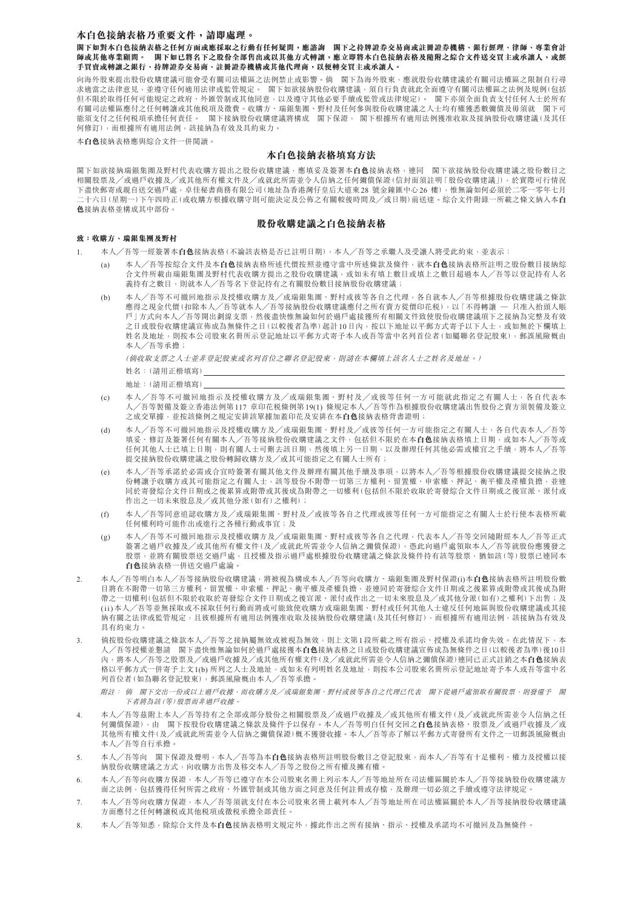### **本白色接納表格乃重要文件,請即處理。**

**閣下如對本白色接納表格之任何方面或應採取之行動有任何疑問,應諮詢 閣下之持牌證券交易商或註冊證券機構、銀行經理、律師、專業會計 師或其他專業顧問。 閣下如已將名下之股份全部售出或以其他方式轉讓,應立即將本白色接納表格及隨附之綜合文件送交買主或承讓人,或經 手買賣或轉讓之銀行、持牌證券交易商、註冊證券機構或其他代理商,以便轉交買主或承讓人。**

向海外股東提出股份收購建議可能會受有關司法權區之法例禁止或影響。倘 閣下為海外股東,應就股份收購建議於有關司法權區之限制自行尋 求適當之法律意見,並遵守任何適用法律或監管規定。 閣下如欲接納股份收購建議,須自行負責就此全面遵守有關司法權區之法例及規例(包括 但不限於取得任何可能規定之政府、外匯管制或其他同意,以及遵守其他必要手續或監管或法律規定)。 閣下亦須全面負責支付任何人士於所有 有關司法權區應付之任何轉讓或其他稅項及徵費。收購方、瑞銀集團、野村及任何參與股份收購建議之人士均有權獲悉數彌償及毋須就 閣下可 能須支付之任何税項承擔任何責任。 閣下接納股份收購建議將構成 閣下保證, 閣下根據所有適用法例獲准收取及接納股份收購建議(及其任 何修訂),而根據所有適用法例,該接納為有效及具約束力。

本**白色**接納表格應與綜合文件一併閱讀。

## **本白色接納表格填寫方法**

閣下如欲接納瑞銀集團及野村代表收購方提出之股份收購建議,應填妥及簽署本**白色**接納表格,連同 閣下欲接納股份收購建議之股份數目之 相關股票及╱或過戶收據及╱或其他所有權文件及╱或就此所需並令人信納之任何彌償保證(信封面須註明「股份收購建議」),於實際可行情況 下盡快郵寄或親自送交過戶處,卓佳秘書商務有限公司(地址為香港灣仔皇后大道東28 號金鐘匯中心26 樓),惟無論如何必須於二零一零年七月 二十六日(星期一)下午四時正(或收購方根據收購守則可能決定及公佈之有關較後時間及╱或日期)前送達。綜合文件附錄一所載之條文納入本**白 色**接納表格並構成其中部份。

### **股份收購建議之白色接納表格**

### **致:收購方、瑞銀集團及野村**

- 1. 本人╱吾等一經簽署本**白色**接納表格(不論該表格是否已註明日期),本人╱吾等之承繼人及受讓人將受此約束,並表示:
	- (a) 本人╱吾等按綜合文件及本**白色**接納表格所述代價按照並遵守當中所述條款及條件,就本**白色**接納表格所註明之股份數目接納綜 合文件所載由瑞銀集團及野村代表收購方提出之股份收購建議,或如未有填上數目或填上之數目超過本人╱吾等以登記持有人名 義持有之數目,則就本人/吾等名下登記持有之有關股份數目接納股份收購建議;
	- (b) 本人╱吾等不可撤回地指示及授權收購方及╱或瑞銀集團、野村或彼等各自之代理,各自就本人╱吾等根據股份收購建議之條款 應得之現金代價(扣除本人╱吾等就本人╱吾等接納股份收購建議應付之所有賣方從價印花稅),以「不得轉讓 — 只准入抬頭人賬 戶」方式向本人╱吾等開出劃線支票,然後盡快惟無論如何於過戶處接獲所有相關文件致使股份收購建議項下之接納為完整及有效 之日或股份收購建議宣佈成為無條件之日(以較後者為準)起計10日內,按以下地址以平郵方式寄予以下人士,或如無於下欄填上 姓名及地址,則按本公司股東名冊所示登記地址以平郵方式寄予本人或吾等當中名列首位者(如屬聯名登記股東),郵誤風險概由 本人╱吾等承擔;

(倘收取支票之人士並非登記股東或名列首位之聯名登記股東,則請在本欄填上該名人士之姓名及地址。)

- (c) 本人╱吾等不可撤回地指示及授權收購方及╱或瑞銀集團、野村及╱或彼等任何一方可能就此指定之有關人士,各自代表本 人╱吾等製備及簽立香港法例第117 章印花稅條例第19(1) 條規定本人╱吾等作為根據股份收購建議出售股份之賣方須製備及簽立 之成交單據,並按該條例之規定安排該單據加蓋印花及安排在本**白色**接納表格背書證明;
- (d) 本人╱吾等不可撤回地指示及授權收購方及╱或瑞銀集團、野村及╱或彼等任何一方可能指定之有關人士,各自代表本人╱吾等 填妥、修訂及簽署任何有關本人/吾等接納股份收購建議之文件,包括但不限於在本**白色**接納表格填上日期,或如本人/吾等或 任何其他人士已填上日期,則有關人士可刪去該日期,然後填上另一日期,以及辦理任何其他必需或權宜之手續,將本人 提交接納股份收購建議之股份轉歸收購方及╱或其可能指定之有關人士所有;
- (e) 本人╱吾等承諾於必需或合宜時簽署有關其他文件及辦理有關其他手續及事項,以將本人╱吾等根據股份收購建議提交接納之股 份轉讓予收購方或其可能指定之有關人士,該等股份不附帶一切第三方權利、留置權、申索權、押記、衡平權及產權負擔,並連 同於寄發綜合文件日期或之後累算或附帶或其後成為附帶之一切權利(包括但不限於收取於寄發綜合文件日期或之後宣派、派付或 作出之一切未來股息及╱或其他分派(如有)之權利);
- (f) 本人╱吾等同意追認收購方及╱或瑞銀集團、野村及╱或彼等各自之代理或彼等任何一方可能指定之有關人士於行使本表格所載 任何權利時可能作出或進行之各種行動或事宜;及
- (g) 本人╱吾等不可撤回地指示及授權收購方及╱或瑞銀集團、野村或彼等各自之代理,代表本人╱吾等交回隨附經本人╱吾等正式 簽署之過戶收據及╱或其他所有權文件(及╱或就此所需並令人信納之彌償保證),憑此向過戶處領取本人╱吾等就股份應獲發之 股票,並將有關股票送交過戶處,且授權及指示過戶處根據股份收購建議之條款及條件持有該等股票,猶如該(等)股票已連同本 **白色**接納表格一併送交過戶處論。
- 2. 本人╱吾等明白本人╱吾等接納股份收購建議,將被視為構成本人╱吾等向收購方、瑞銀集團及野村保證(i)本**白色**接納表格所註明股份數 目將在不附帶一切第三方權利、留置權、申索權、押記、衡平權及產權負擔,並連同於寄發綜合文件日期或之後累算或附帶或其後成為附 帶之一切權利(包括但不限於收取於寄發綜合文件日期或之後宣派、派付或作出之一切未來股息及╱或其他分派(如有)之權利)下出售;及 (ii)本人╱吾等並無採取或不採取任何行動而將或可能致使收購方或瑞銀集團、野村或任何其他人士違反任何地區與股份收購建議或其接 納有關之法律或監管規定,且彼根據所有適用法例獲准收取及接納股份收購建議(及其任何修訂),而根據所有適用法例,該接納為有效及 具有約束力。
- 3. 倘按股份收購建議之條款本人╱吾等之接納屬無效或被視為無效,則上文第1段所載之所有指示、授權及承諾均會失效。在此情況下,本 人╱吾等授權並懇請 閣下盡快惟無論如何於過戶處接獲本**白色**接納表格之日或股份收購建議宣佈成為無條件之日(以較後者為準)後10日 內,將本人╱吾等之股票及╱或過戶收據及╱或其他所有權文件(及╱或就此所需並令人信納之彌償保證)連同已正式註銷之本**白色**接納表 格以平郵方式一併寄予上文1(b) 所列之人士及地址,或如未有列明姓名及地址,则按本公司股東名冊所示登記地址寄予本人或吾等當中名 列首位者(如為聯名登記股東),郵誤風險概由本人╱吾等承擔。
	- 附註: 倘 閣下交出一份或以上過戶收據,而收購方及╱或瑞銀集團、野村或彼等各自之代理已代表 閣下從過戶處領取有關股票,則發還予 閣 下者將為該(等)股票而非過戶收據。
- 4. 本人╱吾等茲附上本人╱吾等持有之全部或部分股份之相關股票及╱或過戶收據及╱或其他所有權文件(及╱或就此所需並令人信納之任 何彌償保證),由 閣下按股份收購建議之條款及條件予以保存。本人╱吾等明白任何交回之**白色**接納表格、股票及╱或過戶收據及╱或 其他所有權文件(及╱或就此所需並令人信納之彌償保證)概不獲發收據。本人╱吾等亦了解以平郵方式寄發所有文件之一切郵誤風險概由 本人╱吾等自行承擔。
- 5. 本人╱吾等向 閣下保證及聲明,本人╱吾等為本**白色**接納表格所註明股份數目之登記股東,而本人╱吾等有十足權利、權力及授權以接 納股份收購建議之方式,向收購方出售及移交本人╱吾等之股份之所有權及擁有權。
- 6. 本人╱吾等向收購方保證,本人╱吾等已遵守在本公司股東名冊上列示本人╱吾等地址所在司法權區關於本人╱吾等接納股份收購建議方 面之法例,包括獲得任何所需之政府、外匯管制或其他方面之同意及任何註冊或存檔,及辦理一切必須之手續或遵守法律規定。
- 7. 本人╱吾等向收購方保證,本人╱吾等須就支付在本公司股東名冊上載列本人╱吾等地址所在司法權區關於本人╱吾等接納股份收購建議 方面應付之任何轉讓稅或其他稅項或徵稅承擔全部責任。
- 8. 本人╱吾等知悉,除綜合文件及本**白色**接納表格明文規定外,據此作出之所有接納、指示、授權及承諾均不可撤回及為無條件。

姓名:(請用正楷填寫)

地址:(請用正楷填寫)